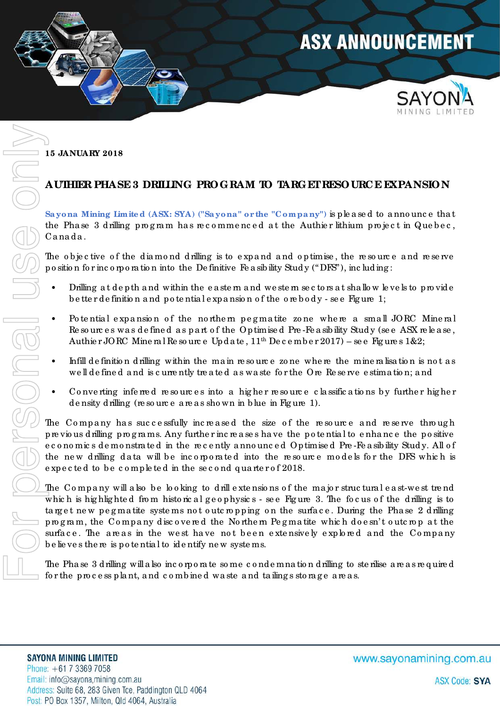

**15 JANUARY 2018** 

## **AUTHIER PHASE 3 DRILLING PROG RAM TO TARGET RESOURCE EXPANSION**

**Sa yona Mining Limite d (ASX: SYA) ("Sa yona " or the "Compa ny")** is ple a se d to a nno unc e tha t the Phase 3 d rilling program has recommenced at the Authier lithium project in Quebec, Ca na da .

The objective of the diamond drilling is to expand and optimise, the resource and reserve po sitio n fo r inc o rpo ra tio n into the De finitive Fe a sib ility Stud y (" DFS"), inc luding :

- Drilling at depth and within the eastern and we stem sectors at shallow levels to provide be tte r de finition and potential expansion of the ore body - see Figure 1;
- Po te ntial expansion of the northem pegmatite zone where a small JORC Mineral Re so urc es was de fined as part of the Optimised Pre-Fe asibility Study (see ASX release, Authier JORC Mineral Resource Update,  $11<sup>th</sup>$  December 2017) – see Figures 1&2;
- Infill definition d rilling within the main resource zo ne where the mine ralisation is not as we ll de fine d and is c urre ntly treated as waste for the Ore Reserve estimation; and
- Converting inferred resources into a higher resource classifications by further higher d e nsity d rilling (re so urc e a re a s sho wn in b lue in Fig ure 1).

The Company has successfully increased the size of the resource and reserve through pre vio us d rilling pro g ra ms. Any furthe r inc re a se s ha ve the po te ntia l to e nha nc e the po sitive e c o no mic s d e mo nstra te d in the re c e ntly a nno unc e d Optimise d Pre -Fe a sib ility Stud y. All o f the new drilling data will be incorporated into the resource models for the DFS which is expected to be completed in the second quarter of 2018.

The Company will also be looking to drill extensions of the major structural east-west trend which is highlighted from historical geophysics - see Figure 3. The focus of the drilling is to target new pegmatite systems not outcropping on the surface. During the Phase 2 drilling pro g ra m, the Co mpa ny d isc o ve re d the No rthe rn Pe g ma tite whic h do e sn' t o utc ro p a t the surface. The areas in the west have not been extensively explored and the Company b e lie ve s the re is po te ntia l to ide ntify ne w syste ms. 15 JANUARY 2018<br>
AUTHIRR PHA SE3 DRILING PROGRAM TO TARGETRESOURCE EXPANSION<br>
Surgeons Mining Imited (ASS: SYA) ("Seyons" orthe "Company") is pleased to announce that<br>
the Phase 3 duling program has necommenced at the Aut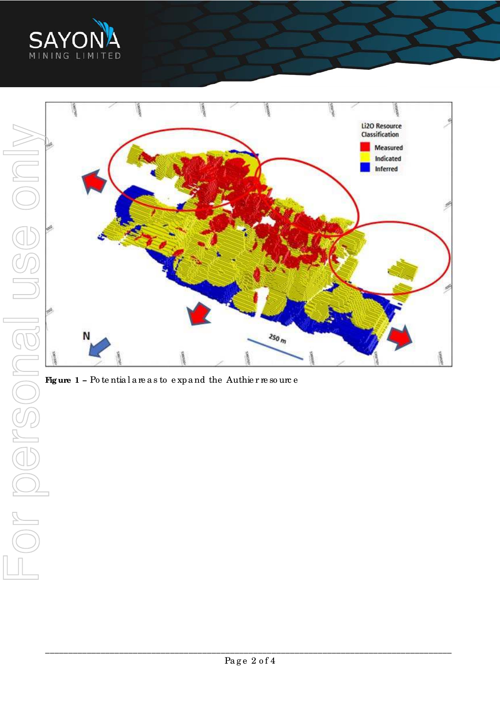



Figure 1 - Potential areas to expand the Authier resource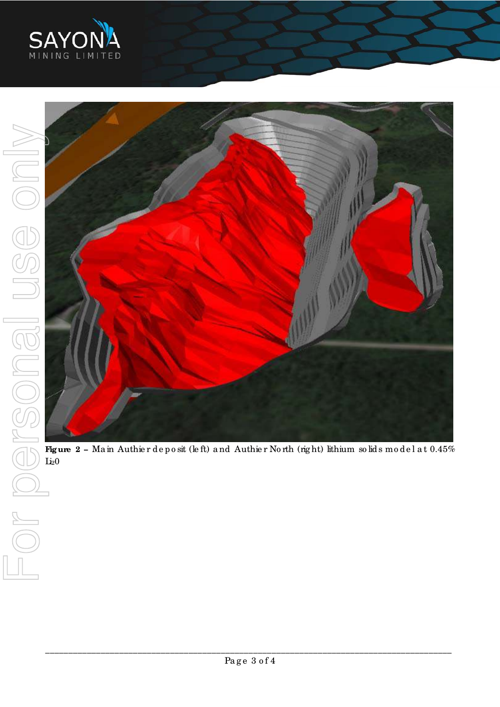



Figure 2 - Main Authier deposit (left) and Authier North (right) lithium solids model at 0.45%  $Li<sub>2</sub>0$